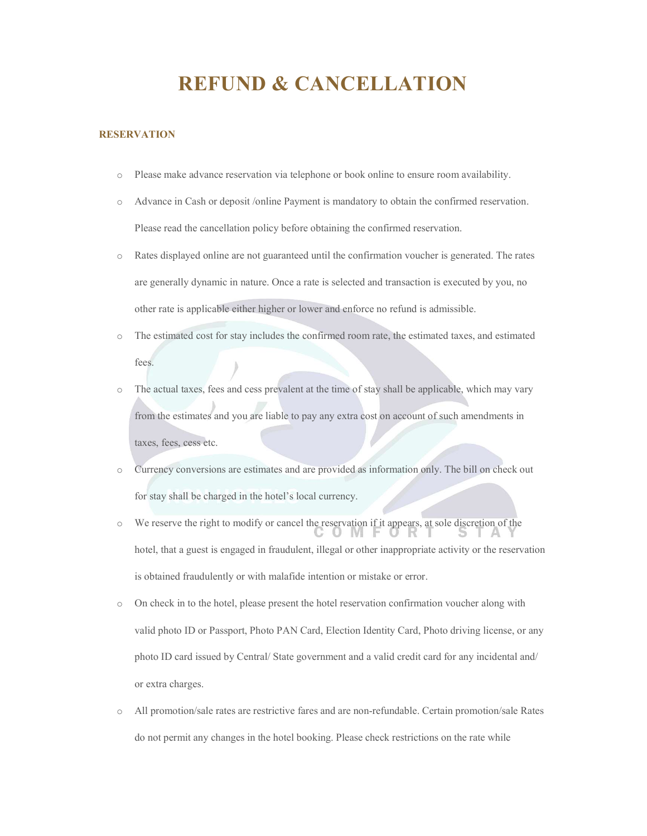# REFUND & CANCELLATION

# RESERVATION

- o Please make advance reservation via telephone or book online to ensure room availability.
- o Advance in Cash or deposit /online Payment is mandatory to obtain the confirmed reservation. Please read the cancellation policy before obtaining the confirmed reservation.
- o Rates displayed online are not guaranteed until the confirmation voucher is generated. The rates are generally dynamic in nature. Once a rate is selected and transaction is executed by you, no other rate is applicable either higher or lower and enforce no refund is admissible.
- o The estimated cost for stay includes the confirmed room rate, the estimated taxes, and estimated fees.
- The actual taxes, fees and cess prevalent at the time of stay shall be applicable, which may vary from the estimates and you are liable to pay any extra cost on account of such amendments in taxes, fees, cess etc.
- o Currency conversions are estimates and are provided as information only. The bill on check out for stay shall be charged in the hotel's local currency.
- o We reserve the right to modify or cancel the reservation if it appears, at sole discretion of the hotel, that a guest is engaged in fraudulent, illegal or other inappropriate activity or the reservation is obtained fraudulently or with malafide intention or mistake or error.
- o On check in to the hotel, please present the hotel reservation confirmation voucher along with valid photo ID or Passport, Photo PAN Card, Election Identity Card, Photo driving license, or any photo ID card issued by Central/ State government and a valid credit card for any incidental and/ or extra charges.
- o All promotion/sale rates are restrictive fares and are non-refundable. Certain promotion/sale Rates do not permit any changes in the hotel booking. Please check restrictions on the rate while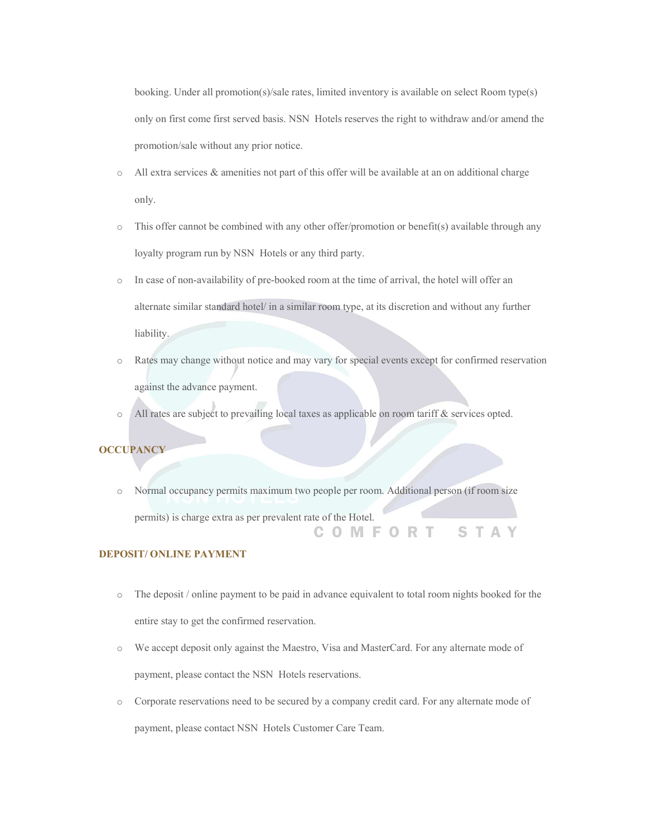booking. Under all promotion(s)/sale rates, limited inventory is available on select Room type(s) only on first come first served basis. NSN Hotels reserves the right to withdraw and/or amend the promotion/sale without any prior notice.

- $\circ$  All extra services & amenities not part of this offer will be available at an on additional charge only.
- o This offer cannot be combined with any other offer/promotion or benefit(s) available through any loyalty program run by NSN Hotels or any third party.
- o In case of non-availability of pre-booked room at the time of arrival, the hotel will offer an alternate similar standard hotel/ in a similar room type, at its discretion and without any further liability.
- o Rates may change without notice and may vary for special events except for confirmed reservation against the advance payment.
- o All rates are subject to prevailing local taxes as applicable on room tariff & services opted.

# **OCCUPANCY**

o Normal occupancy permits maximum two people per room. Additional person (if room size permits) is charge extra as per prevalent rate of the Hotel. COMFORT STAY

# DEPOSIT/ ONLINE PAYMENT

- o The deposit / online payment to be paid in advance equivalent to total room nights booked for the entire stay to get the confirmed reservation.
- o We accept deposit only against the Maestro, Visa and MasterCard. For any alternate mode of payment, please contact the NSN Hotels reservations.
- o Corporate reservations need to be secured by a company credit card. For any alternate mode of payment, please contact NSN Hotels Customer Care Team.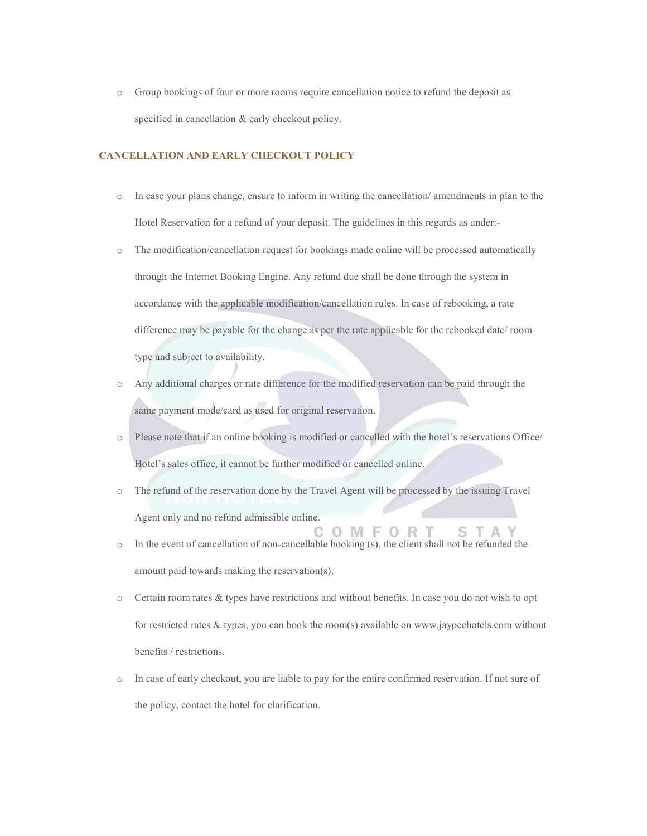o Group bookings of four or more rooms require cancellation notice to refund the deposit as specified in cancellation & early checkout policy.

### CANCELLATION AND EARLY CHECKOUT POLICY

- o In case your plans change, ensure to inform in writing the cancellation/ amendments in plan to the Hotel Reservation for a refund of your deposit. The guidelines in this regards as under:-
- o The modification/cancellation request for bookings made online will be processed automatically through the Internet Booking Engine. Any refund due shall be done through the system in accordance with the applicable modification/cancellation rules. In case of rebooking, a rate difference may be payable for the change as per the rate applicable for the rebooked date/ room type and subject to availability.
- o Any additional charges or rate difference for the modified reservation can be paid through the same payment mode/card as used for original reservation.
- o Please note that if an online booking is modified or cancelled with the hotel's reservations Office/ Hotel's sales office, it cannot be further modified or cancelled online.
- o The refund of the reservation done by the Travel Agent will be processed by the issuing Travel Agent only and no refund admissible online.

C O M F O R

STA

- o In the event of cancellation of non-cancellable booking (s), the client shall not be refunded the amount paid towards making the reservation(s).
- o Certain room rates & types have restrictions and without benefits. In case you do not wish to opt for restricted rates & types, you can book the room(s) available on www.jaypeehotels.com without benefits / restrictions.
- o In case of early checkout, you are liable to pay for the entire confirmed reservation. If not sure of the policy, contact the hotel for clarification.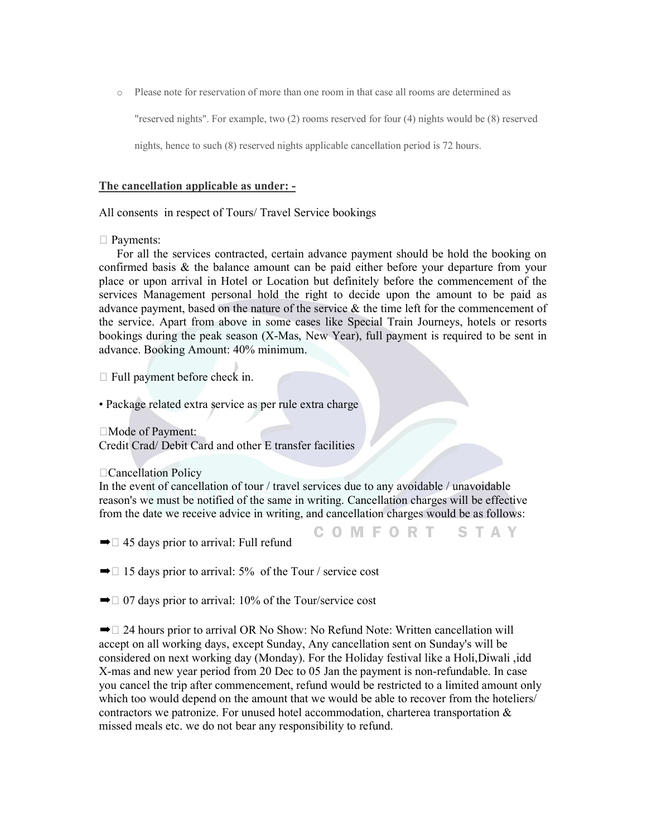o Please note for reservation of more than one room in that case all rooms are determined as

"reserved nights". For example, two (2) rooms reserved for four (4) nights would be (8) reserved

nights, hence to such (8) reserved nights applicable cancellation period is 72 hours.

## The cancellation applicable as under: -

All consents in respect of Tours/ Travel Service bookings

## □ Payments:

 For all the services contracted, certain advance payment should be hold the booking on confirmed basis & the balance amount can be paid either before your departure from your place or upon arrival in Hotel or Location but definitely before the commencement of the services Management personal hold the right to decide upon the amount to be paid as advance payment, based on the nature of the service & the time left for the commencement of the service. Apart from above in some cases like Special Train Journeys, hotels or resorts bookings during the peak season (X-Mas, New Year), full payment is required to be sent in advance. Booking Amount: 40% minimum.

 $\Box$  Full payment before check in.

• Package related extra service as per rule extra charge

□Mode of Payment:

Credit Crad/ Debit Card and other E transfer facilities

#### Cancellation Policy

In the event of cancellation of tour / travel services due to any avoidable / unavoidable reason's we must be notified of the same in writing. Cancellation charges will be effective from the date we receive advice in writing, and cancellation charges would be as follows:

COMFORT STAY

 $\rightarrow \Box$  45 days prior to arrival: Full refund

 $\rightarrow$  15 days prior to arrival: 5% of the Tour / service cost

 $\rightarrow$  07 days prior to arrival: 10% of the Tour/service cost

 $\rightarrow$   $\Box$  24 hours prior to arrival OR No Show: No Refund Note: Written cancellation will accept on all working days, except Sunday, Any cancellation sent on Sunday's will be considered on next working day (Monday). For the Holiday festival like a Holi,Diwali ,idd X-mas and new year period from 20 Dec to 05 Jan the payment is non-refundable. In case you cancel the trip after commencement, refund would be restricted to a limited amount only which too would depend on the amount that we would be able to recover from the hoteliers/ contractors we patronize. For unused hotel accommodation, charterea transportation  $\&$ missed meals etc. we do not bear any responsibility to refund.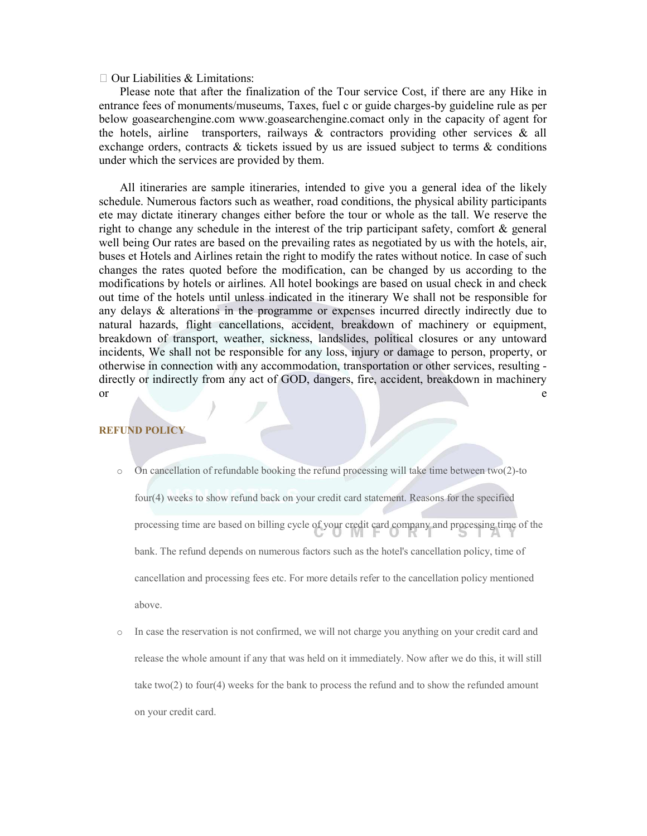#### $\Box$  Our Liabilities & Limitations:

 Please note that after the finalization of the Tour service Cost, if there are any Hike in entrance fees of monuments/museums, Taxes, fuel c or guide charges-by guideline rule as per below goasearchengine.com www.goasearchengine.comact only in the capacity of agent for the hotels, airline transporters, railways  $\&$  contractors providing other services  $\&$  all exchange orders, contracts  $\&$  tickets issued by us are issued subject to terms  $\&$  conditions under which the services are provided by them.

 All itineraries are sample itineraries, intended to give you a general idea of the likely schedule. Numerous factors such as weather, road conditions, the physical ability participants ete may dictate itinerary changes either before the tour or whole as the tall. We reserve the right to change any schedule in the interest of the trip participant safety, comfort & general well being Our rates are based on the prevailing rates as negotiated by us with the hotels, air, buses et Hotels and Airlines retain the right to modify the rates without notice. In case of such changes the rates quoted before the modification, can be changed by us according to the modifications by hotels or airlines. All hotel bookings are based on usual check in and check out time of the hotels until unless indicated in the itinerary We shall not be responsible for any delays & alterations in the programme or expenses incurred directly indirectly due to natural hazards, flight cancellations, accident, breakdown of machinery or equipment, breakdown of transport, weather, sickness, landslides, political closures or any untoward incidents, We shall not be responsible for any loss, injury or damage to person, property, or otherwise in connection with any accommodation, transportation or other services, resulting directly or indirectly from any act of GOD, dangers, fire, accident, breakdown in machinery or experience of the contract of the contract of the contract of the contract of the contract of the contract of the contract of the contract of the contract of the contract of the contract of the contract of the contract

# REFUND POLICY

- o On cancellation of refundable booking the refund processing will take time between two(2)-to four(4) weeks to show refund back on your credit card statement. Reasons for the specified processing time are based on billing cycle of your credit card company and processing time of the bank. The refund depends on numerous factors such as the hotel's cancellation policy, time of cancellation and processing fees etc. For more details refer to the cancellation policy mentioned above.
- In case the reservation is not confirmed, we will not charge you anything on your credit card and release the whole amount if any that was held on it immediately. Now after we do this, it will still take two(2) to four(4) weeks for the bank to process the refund and to show the refunded amount on your credit card.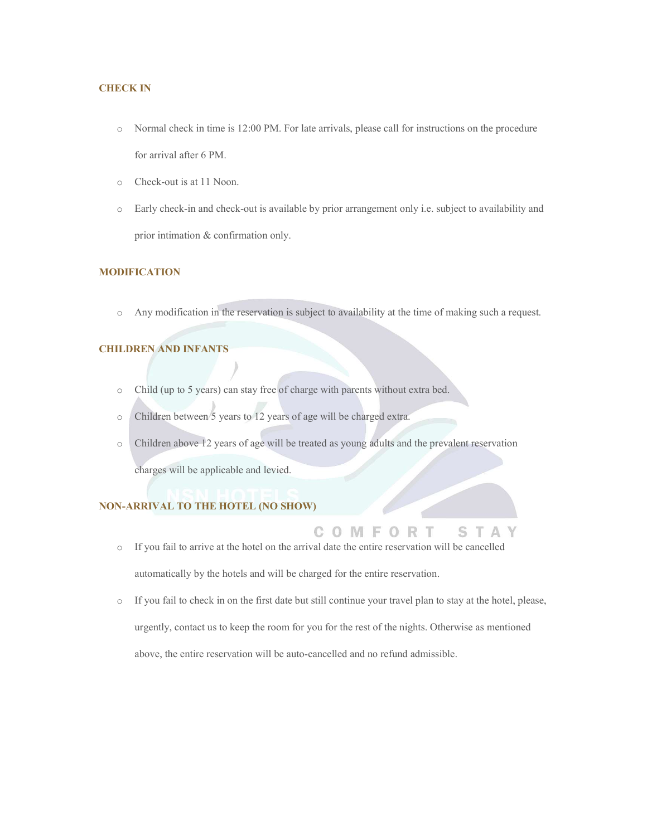## CHECK IN

- o Normal check in time is 12:00 PM. For late arrivals, please call for instructions on the procedure for arrival after 6 PM.
- o Check-out is at 11 Noon.
- o Early check-in and check-out is available by prior arrangement only i.e. subject to availability and prior intimation & confirmation only.

## MODIFICATION

o Any modification in the reservation is subject to availability at the time of making such a request.

# CHILDREN AND INFANTS

- o Child (up to 5 years) can stay free of charge with parents without extra bed.
- o Children between 5 years to 12 years of age will be charged extra.
- o Children above 12 years of age will be treated as young adults and the prevalent reservation

charges will be applicable and levied.

# NON-ARRIVAL TO THE HOTEL (NO SHOW)

o If you fail to arrive at the hotel on the arrival date the entire reservation will be cancelled

automatically by the hotels and will be charged for the entire reservation.

o If you fail to check in on the first date but still continue your travel plan to stay at the hotel, please, urgently, contact us to keep the room for you for the rest of the nights. Otherwise as mentioned above, the entire reservation will be auto-cancelled and no refund admissible.

COMFORT

S.

 $\triangle$ T